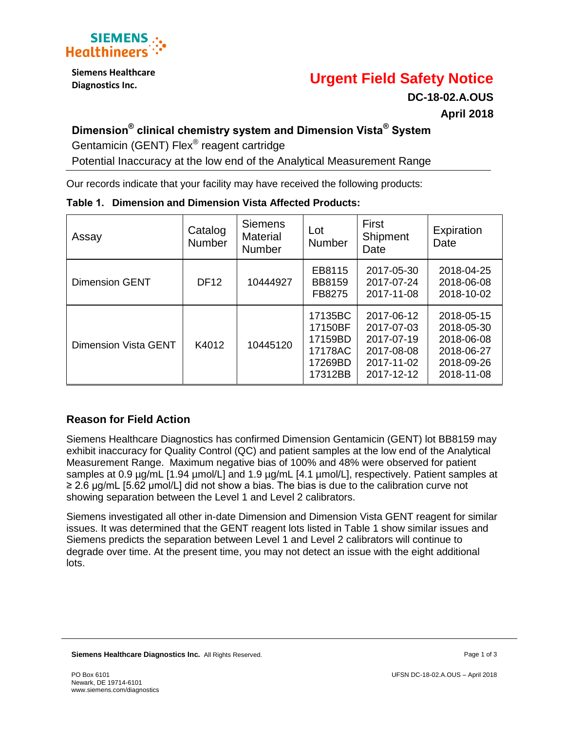

**Siemens Healthcare** 

# **Diagnostics Inc. Urgent Field Safety Notice**

**DC-18-02.A.OUS April 2018**

## **Dimension® clinical chemistry system and Dimension Vista® System**

Gentamicin (GENT) Flex® reagent cartridge

Potential Inaccuracy at the low end of the Analytical Measurement Range

Our records indicate that your facility may have received the following products:

|  |  | Table 1. Dimension and Dimension Vista Affected Products: |  |  |  |
|--|--|-----------------------------------------------------------|--|--|--|
|--|--|-----------------------------------------------------------|--|--|--|

| Assay                 | Catalog<br>Number | <b>Siemens</b><br><b>Material</b><br><b>Number</b> | Lot<br><b>Number</b>                                           | First<br>Shipment<br>Date                                                        | Expiration<br>Date                                                               |
|-----------------------|-------------------|----------------------------------------------------|----------------------------------------------------------------|----------------------------------------------------------------------------------|----------------------------------------------------------------------------------|
| <b>Dimension GENT</b> | <b>DF12</b>       | 10444927                                           | EB8115<br><b>BB8159</b><br>FB8275                              | 2017-05-30<br>2017-07-24<br>2017-11-08                                           | 2018-04-25<br>2018-06-08<br>2018-10-02                                           |
| Dimension Vista GENT  | K4012             | 10445120                                           | 17135BC<br>17150BF<br>17159BD<br>17178AC<br>17269BD<br>17312BB | 2017-06-12<br>2017-07-03<br>2017-07-19<br>2017-08-08<br>2017-11-02<br>2017-12-12 | 2018-05-15<br>2018-05-30<br>2018-06-08<br>2018-06-27<br>2018-09-26<br>2018-11-08 |

## **Reason for Field Action**

Siemens Healthcare Diagnostics has confirmed Dimension Gentamicin (GENT) lot BB8159 may exhibit inaccuracy for Quality Control (QC) and patient samples at the low end of the Analytical Measurement Range. Maximum negative bias of 100% and 48% were observed for patient samples at 0.9 µg/mL [1.94 µmol/L] and 1.9 µg/mL [4.1 µmol/L], respectively. Patient samples at ≥ 2.6 µg/mL [5.62 µmol/L] did not show a bias. The bias is due to the calibration curve not showing separation between the Level 1 and Level 2 calibrators.

Siemens investigated all other in-date Dimension and Dimension Vista GENT reagent for similar issues. It was determined that the GENT reagent lots listed in Table 1 show similar issues and Siemens predicts the separation between Level 1 and Level 2 calibrators will continue to degrade over time. At the present time, you may not detect an issue with the eight additional lots.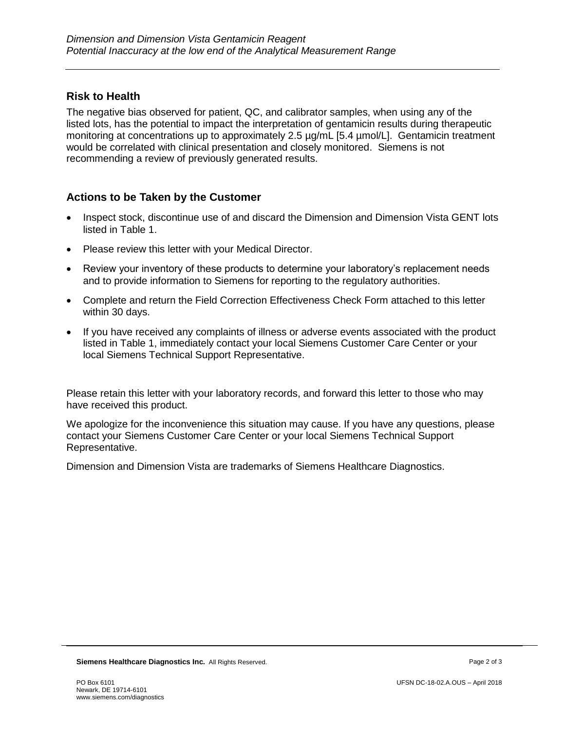### **Risk to Health**

The negative bias observed for patient, QC, and calibrator samples, when using any of the listed lots, has the potential to impact the interpretation of gentamicin results during therapeutic monitoring at concentrations up to approximately 2.5 µg/mL [5.4 µmol/L]. Gentamicin treatment would be correlated with clinical presentation and closely monitored. Siemens is not recommending a review of previously generated results.

## **Actions to be Taken by the Customer**

- Inspect stock, discontinue use of and discard the Dimension and Dimension Vista GENT lots listed in Table 1.
- Please review this letter with your Medical Director.
- Review your inventory of these products to determine your laboratory's replacement needs and to provide information to Siemens for reporting to the regulatory authorities.
- Complete and return the Field Correction Effectiveness Check Form attached to this letter within 30 days.
- If you have received any complaints of illness or adverse events associated with the product listed in Table 1, immediately contact your local Siemens Customer Care Center or your local Siemens Technical Support Representative.

Please retain this letter with your laboratory records, and forward this letter to those who may have received this product.

We apologize for the inconvenience this situation may cause. If you have any questions, please contact your Siemens Customer Care Center or your local Siemens Technical Support Representative.

Dimension and Dimension Vista are trademarks of Siemens Healthcare Diagnostics.